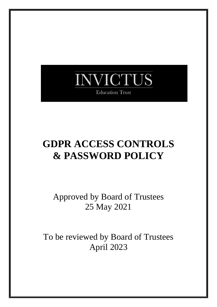

# **GDPR ACCESS CONTROLS & PASSWORD POLICY**

Approved by Board of Trustees 25 May 2021

To be reviewed by Board of Trustees April 2023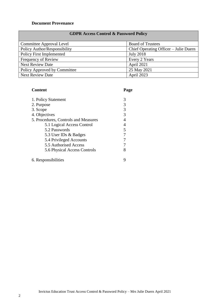#### **Document Provenance**

|              | <b>GDPR Access Control &amp; Password Policy</b> |
|--------------|--------------------------------------------------|
| lave I feyor | Roard of Trustees                                |

| Committee Approval Level     | <b>Board of Trustees</b>              |
|------------------------------|---------------------------------------|
| Policy Author/Responsibility | Chief Operating Officer – Julie Duern |
| Policy First Implemented     | <b>July 2018</b>                      |
| Frequency of Review          | Every 2 Years                         |
| <b>Next Review Date</b>      | April 2021                            |
| Policy Approved by Committee | 25 May 2021                           |
| <b>Next Review Date</b>      | April 2023                            |

# **Content Page**

| 1. Policy Statement                  |  |
|--------------------------------------|--|
| 2. Purpose                           |  |
| 3. Scope                             |  |
| 4. Objectives                        |  |
| 5. Procedures, Controls and Measures |  |
| 5.1 Logical Access Control           |  |
| 5.2 Passwords                        |  |
| 5.3 User IDs & Badges                |  |
| 5.4 Privileged Accounts              |  |
| 5.5 Authorised Access                |  |
| 5.6 Physical Access Controls         |  |
|                                      |  |

6. Responsibilities 9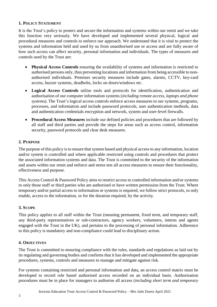# **1. POLICY STATEMENT**

It is the Trust's policy to protect and secure the information and systems within our remit and we take this function very seriously. We have developed and implemented several physical, logical and procedural measures and controls to enforce our approach. We understand that it is vital to protect the systems and information held and used by us from unauthorised use or access and are fully aware of how such access can affect security, personal information and individuals. The types of measures and controls used by the Trust are:

- **Physical Access Controls** ensuring the availability of systems and information is restricted to authorised persons only, thus preventing locations and information from being accessible to nonauthorised individuals. Premises security measures include gates, alarms, CCTV, key-card access, buzzer systems, deadbolts, locks on doors/windows etc.
- **Logical Access Controls** utilise tools and protocols for identification, authentication and authorisation of our computer information systems (*including remote access, laptops and phone systems*). The Trust's logical access controls enforce access measures to our systems, programs, processes, and information and include password protocols, user authentication methods, data and authentication credentials encryption and network, system and user-level firewalls.
- **Procedural Access Measures** include our defined policies and procedures that are followed by all staff and third parties and provide the steps for areas such as access control, information security, password protocols and clear desk measures.

# **2. PURPOSE**

The purpose of this policy is to ensure that system based and physical access to any information, location and/or system is controlled and where applicable restricted using controls and procedures that protect the associated information systems and data. The Trust is committed to the security of the information and assets within our remit and enforce and stress test all access measures to ensure their functionality, effectiveness and purpose.

This Access Control & Password Policy aims to restrict access to controlled information and/or systems to only those staff or third parties who are authorised or have written permission from the Trust. Where temporary and/or partial access to information or systems is required, we follow strict protocols, to only enable, access to the information, or for the duration required, by the activity.

# **3. SCOPE**

This policy applies to all staff within the Trust (meaning permanent, fixed term, and temporary staff, any third-party representatives or sub-contractors, agency workers, volunteers, interns and agents engaged with the Trust in the UK), and pertains to the processing of personal information. Adherence to this policy is mandatory and non-compliance could lead to disciplinary action.

# **4. OBJECTIVES**

The Trust is committed to ensuring compliance with the rules, standards and regulations as laid out by its regulating and governing bodies and confirms that it has developed and implemented the appropriate procedures, systems, controls and measures to manage and mitigate against risk.

For systems containing restricted and personal information and data, an access control matrix must be developed to record role based authorised access recorded on an individual basis. Authorisation procedures must be in place for managers to authorise all access (*including short term and temporary*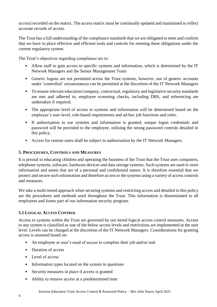*access*) recorded on the matrix. The access matrix must be continually updated and maintained to reflect accurate records of access.

The Trust has a full understanding of the compliance standards that we are obligated to meet and confirm that we have in place effective and efficient tools and controls for meeting these obligations under the current regulatory system.

The Trust's objectives regarding compliance are to:

- Allow staff to gain access to specific systems and information, which is determined by the IT Network Managers and the Senior Management Team
- Generic logons are not permitted across the Trust systems, however, use of generic accounts under 'controlled' circumstances can be permitted at the discretion of the IT Network Managers
- To ensure relevant education/company, contractual, regulatory and legislative security standards are met and adhered to, employee screening checks, including DBS, and referencing are undertaken if required.
- The appropriate level of access to systems and information will be determined based on the employee's user-level, role-based requirements and ad-hoc job functions and roles.
- If authorisation to use systems and information is granted, unique logon credentials and password will be provided to the employee, utilising the strong password controls detailed in this policy.
- Access for remote users shall be subject to authorisation by the IT Network Managers.

# **5. PROCEDURES, CONTROLS AND MEASURES**

It is pivotal to educating children and operating the business of the Trust that the Trust uses computers, telephone systems, software, hardware devices and data storage systems. Such systems are used to store information and assets that are of a personal and confidential nature. It is therefore essential that we protect and secure such information and therefore access to the systems using a variety of access controls and measures.

We take a multi-tiered approach when securing systems and restricting access and detailed in this policy are the procedures and methods used throughout the Trust. This information is disseminated to all employees and forms part of our information security program.

# **5.1 LOGICAL ACCESS CONTROL**

Access to systems within the Trust are governed by our tiered logical access control measures. Access to any system is classified as one of the below access levels and restrictions are implemented at the user level. Levels can be changed at the discretion of the IT Network Managers. Considerations for granting access is assessed based on:

- An employee or user's need of access to complete their job and/or task
- Duration of access
- Level of access
- Information types located on the system in questions
- Security measures in place if access is granted
- Ability to remove access at a predetermined time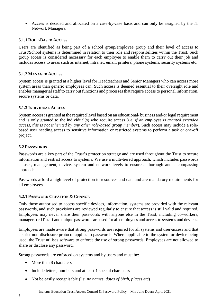• Access is decided and allocated on a case-by-case basis and can only be assigned by the IT Network Managers.

#### **5.1.1 ROLE-BASED ACCESS**

Users are identified as being part of a school group/employee group and their level of access to Trust/School systems is determined in relation to their role and responsibilities within the Trust. Such group access is considered necessary for each employee to enable them to carry out their job and includes access to areas such as internet, intranet, email, printers, phone systems, security systems etc.

### **5.1.2 MANAGER ACCESS**

System access is granted at a higher level for Headteachers and Senior Managers who can access more system areas than generic employees can. Such access is deemed essential to their oversight role and enables managerial staff to carry out functions and processes that require access to personal information, secure systems or data.

#### **5.1.3 INDIVIDUAL ACCESS**

System access is granted at the required level based on an educational/ business and/or legal requirement and is only granted to the individual(s) who require access (*i.e. if an employee is granted extended access, this is not inherited by any other role-based group member*). Such access may include a rolebased user needing access to sensitive information or restricted systems to perform a task or one-off project.

#### **5.2 PASSWORDS**

Passwords are a key part of the Trust's protection strategy and are used throughout the Trust to secure information and restrict access to systems. We use a multi-tiered approach, which includes passwords at user, management, device, system and network levels to ensure a thorough and encompassing approach.

Passwords afford a high level of protection to resources and data and are mandatory requirements for all employees.

#### **5.2.1 PASSWORD CREATION & CHANGE**

Only those authorised to access specific devices, information, systems are provided with the relevant passwords, and such provisions are reviewed regularly to ensure that access is still valid and required. Employees may never share their passwords with anyone else in the Trust, including co-workers, managers or IT staff and unique passwords are used for all employees and access to systems and devices.

Employees are made aware that strong passwords are required for all systems and user-access and that a strict non-disclosure protocol applies to passwords. Where applicable to the system or device being used, the Trust utilises software to enforce the use of strong passwords. Employees are not allowed to share or disclose any password.

Strong passwords are enforced on systems and by users and must be:

- More than 8 characters
- Include letters, numbers and at least 1 special characters
- Not be easily recognisable *(i.e. no names, dates of birth, places etc*)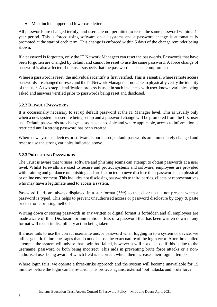• Must include upper and lowercase letters

All passwords are changed termly, and users are not permitted to reuse the same password within a 1 year period. This is forced using software on all systems and a password change is automatically promoted at the start of each term. This change is enforced within 5 days of the change reminder being shown.

If a password is forgotten, only the IT Network Managers can reset the passwords. Passwords that have been forgotten are changed by default and cannot be reset to use the same password. A force change of password is also affected if the user suspects that the password has been compromised.

Where a password is reset, the individuals identify is first verified. This is essential where remote access passwords are changed or reset, and the IT Network Managersis not able to physically verify the identity of the user. A two-step identification process is used in such instances with user-known variables being asked and answers verified prior to passwords being reset and disclosed.

# **5.2.2 DEFAULT PASSWORDS**

It is occasionally necessary to set up default password at the IT Manager level. This is usually only when a new system or user are being set up and a password change will be promoted from the first user use. Default passwords are change as soon as is possible and where applicable, access to information is restricted until a strong password has been created.

Where new systems, devices or software is purchased, default passwords are immediately changed and reset to use the strong variables indicated above.

# **5.2.3 PROTECTING PASSWORDS**

The Trust is aware that viruses, software and phishing scams can attempt to obtain passwords at a user level. Whilst Firewalls are used to secure and protect systems and software, employees are provided with training and guidance on phishing and are instructed to neve disclose their passwords in a physical or online environment. This includes not disclosing passwords to third parties, clients or representatives who may have a legitimate need to access a system.

Password fields are always displayed in a star format (*\*\*\*)* so that clear text is not present when a password is typed. This helps to prevent unauthorised access or password disclosure by copy & paste or electronic printing methods.

Writing down or storing passwords in any written or digital format is forbidden and all employees are made aware of this. Disclosure or unintentional loss of a password that has been written down in any format will result in disciplinary action being taken.

If a user fails to use the correct username and/or password when logging in to a system or device, we utilise generic failure messages that do not disclose the exact nature of the login error. After three failed attempts, the system will advise that login has failed, however it will not disclose if this is due to the username, password or both being incorrect. This aids in preventing brute force attacks or a nonauthorised user being aware of which field is incorrect, which then increases their login attempts.

Where login fails, we operate a three-strike approach and the system will become unavailable for 15 minutes before the login can be re-tried. This protects against external 'bot' attacks and brute force.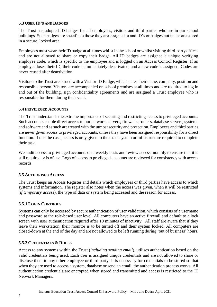# **5.3 USER ID'S AND BADGES**

The Trust has adopted ID badges for all employees, visitors and third parties who are in our school buildings. Such badges are specific to those they are assigned to and ID's or badges not in use are stored in a secure, locked area.

Employees must wear their ID badge at all times whilst in the school or whilst visiting third-party offices and are not allowed to share or copy their badge. All ID badges are assigned a unique verifying employee code, which is specific to the employee and is logged on an Access Control Register. If an employee loses their ID, their code is immediately deactivated, and a new code is assigned. Codes are never reused after deactivation.

Visitors to the Trust are issued with a Visitor ID Badge, which states their name, company, position and responsible person. Visitors are accompanied on school premises at all times and are required to log in and out of the building, sign confidentiality agreements and are assigned a Trust employee who is responsible for them during their visit.

# **5.4 PRIVILEGED ACCOUNTS**

The Trust understands the extreme importance of securing and restricting access to privileged accounts. Such accounts enable direct access to our network, servers, firewalls, routers, database servers, systems and software and as such are treated with the utmost security and protection. Employees and third parties are never given access to privileged accounts, unless they have been assigned responsibility for a direct function. If this the case, access is only given to the exact system or infrastructure required to complete their task.

We audit access to privileged accounts on a weekly basis and review access monthly to ensure that it is still required or is of use. Logs of access to privileged accounts are reviewed for consistency with access records.

# **5.5 AUTHORISED ACCESS**

The Trust keeps an Access Register and details which employees or third parties have access to which systems and information. The register also notes when the access was given, when it will be restricted (*if temporary access*), the type of data or system being accessed and the reason for access.

# **5.5.1 LOGIN CONTROLS**

Systems can only be accessed by secure authentication of user validation, which consists of a username and password at the role-based user level. All computers have an active firewall and default to a lock screen with user authentication required after 10 minutes of inactivity. All staff are aware that if they leave their workstation, their monitor is to be turned off and their system locked. All computers are closed-down at the end of the day and are not allowed to be left running during 'out of business' hours.

# **5.5.2 CREDENTIALS & ROLES**

Access to any systems within the Trust (*including sending email*), utilises authentication based on the valid credentials being used. Each user is assigned unique credentials and are not allowed to share or disclose them to any other employee or third party. It is necessary for credentials to be stored so that when they are used to access a system, database or send an email, the authentication process works. All authentication credentials are encrypted when stored and transmitted and access is restricted to the IT Network Managers.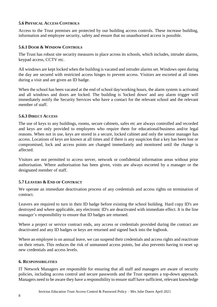# **5.6 PHYSICAL ACCESS CONTROLS**

Access to the Trust premises are protected by our building access controls. These increase building, information and employee security, safety and ensure that no unauthorised access is possible.

# **5.6.1 DOOR & WINDOW CONTROLS**

The Trust has robust site security measures in place across its schools, which includes, intruder alarms, keypad access, CCTV etc.

All windows are kept locked when the building is vacated and intruder alarms set. Windows open during the day are secured with restricted access hinges to prevent access. Visitors are escorted at all times during a visit and are given an ID badge.

When the school has been vacated at the end of school day/working hours, the alarm system is activated and all windows and doors are locked. The building is 'locked down' and any alarm trigger will immediately notify the Security Services who have a contact for the relevant school and the relevant member of staff.

#### **5.6.3 DIRECT ACCESS**

The use of keys to any buildings, rooms, secure cabinets, safes etc are always controlled and recorded and keys are only provided to employees who require them for educational/business and/or legal reasons. When not in use, keys are stored in a secure, locked cabinet and only the senior manager has access. Locations of keys are known at all times and if there is any suspicion that a key has been lost or compromised, lock and access points are changed immediately and monitored until the change is affected.

Visitors are not permitted to access server, network or confidential information areas without prior authorisation. Where authorisation has been given, visits are always escorted by a manager or the designated member of staff.

# **5.7 LEAVERS & END OF CONTRACT**

We operate an immediate deactivation process of any credentials and access rights on termination of contract.

Leavers are required to turn in their ID badge before existing the school building. Hard copy ID's are destroyed and where applicable, any electronic ID's are deactivated with immediate effect. It is the line manager's responsibility to ensure that ID badges are returned.

Where a project or service contract ends, any access or credentials provided during the contract are deactivated and any ID badges or keys are returned and signed back into the logbook.

Where an employee is on annual leave, we can suspend their credentials and access rights and reactivate on their return. This reduces the risk of unmanned access points, but also prevents having to reset up new credentials and access levels.

#### **6. RESPONSIBILITIES**

IT Network Managers are responsible for ensuring that all staff and managers are aware of security policies, including access control and secure passwords and the Trust operates a top-down approach. Managers need to be aware they have a responsibility to ensure staff have sufficient, relevant knowledge